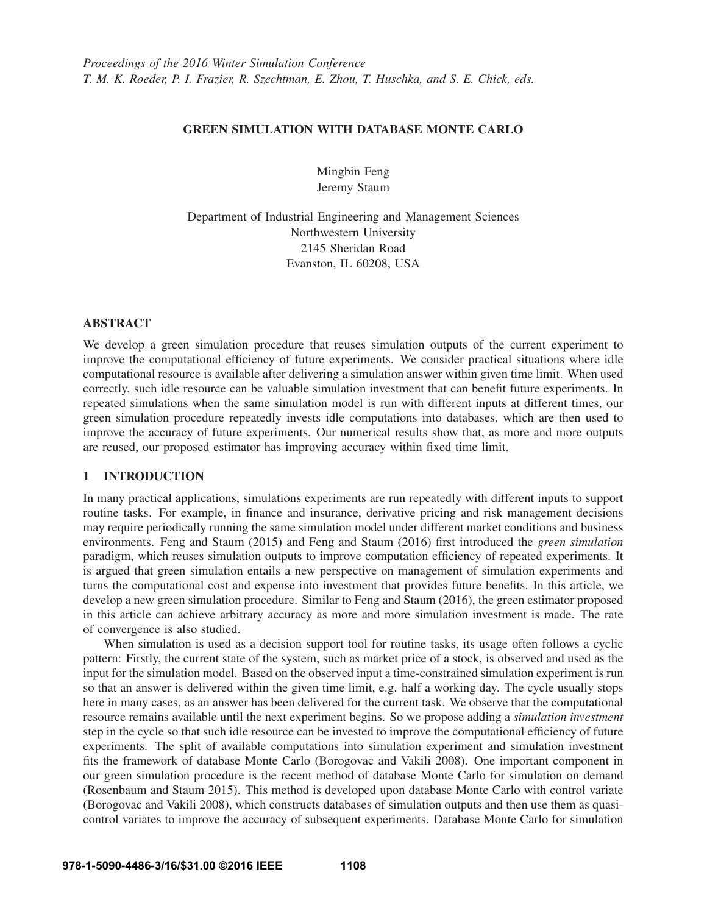## GREEN SIMULATION WITH DATABASE MONTE CARLO

Mingbin Feng Jeremy Staum

Department of Industrial Engineering and Management Sciences Northwestern University 2145 Sheridan Road Evanston, IL 60208, USA

## ABSTRACT

We develop a green simulation procedure that reuses simulation outputs of the current experiment to improve the computational efficiency of future experiments. We consider practical situations where idle computational resource is available after delivering a simulation answer within given time limit. When used correctly, such idle resource can be valuable simulation investment that can benefit future experiments. In repeated simulations when the same simulation model is run with different inputs at different times, our green simulation procedure repeatedly invests idle computations into databases, which are then used to improve the accuracy of future experiments. Our numerical results show that, as more and more outputs are reused, our proposed estimator has improving accuracy within fixed time limit.

# 1 INTRODUCTION

In many practical applications, simulations experiments are run repeatedly with different inputs to support routine tasks. For example, in finance and insurance, derivative pricing and risk management decisions may require periodically running the same simulation model under different market conditions and business environments. Feng and Staum (2015) and Feng and Staum (2016) first introduced the *green simulation* paradigm, which reuses simulation outputs to improve computation efficiency of repeated experiments. It is argued that green simulation entails a new perspective on management of simulation experiments and turns the computational cost and expense into investment that provides future benefits. In this article, we develop a new green simulation procedure. Similar to Feng and Staum (2016), the green estimator proposed in this article can achieve arbitrary accuracy as more and more simulation investment is made. The rate of convergence is also studied.

When simulation is used as a decision support tool for routine tasks, its usage often follows a cyclic pattern: Firstly, the current state of the system, such as market price of a stock, is observed and used as the input for the simulation model. Based on the observed input a time-constrained simulation experiment is run so that an answer is delivered within the given time limit, e.g. half a working day. The cycle usually stops here in many cases, as an answer has been delivered for the current task. We observe that the computational resource remains available until the next experiment begins. So we propose adding a *simulation investment* step in the cycle so that such idle resource can be invested to improve the computational efficiency of future experiments. The split of available computations into simulation experiment and simulation investment fits the framework of database Monte Carlo (Borogovac and Vakili 2008). One important component in our green simulation procedure is the recent method of database Monte Carlo for simulation on demand (Rosenbaum and Staum 2015). This method is developed upon database Monte Carlo with control variate (Borogovac and Vakili 2008), which constructs databases of simulation outputs and then use them as quasicontrol variates to improve the accuracy of subsequent experiments. Database Monte Carlo for simulation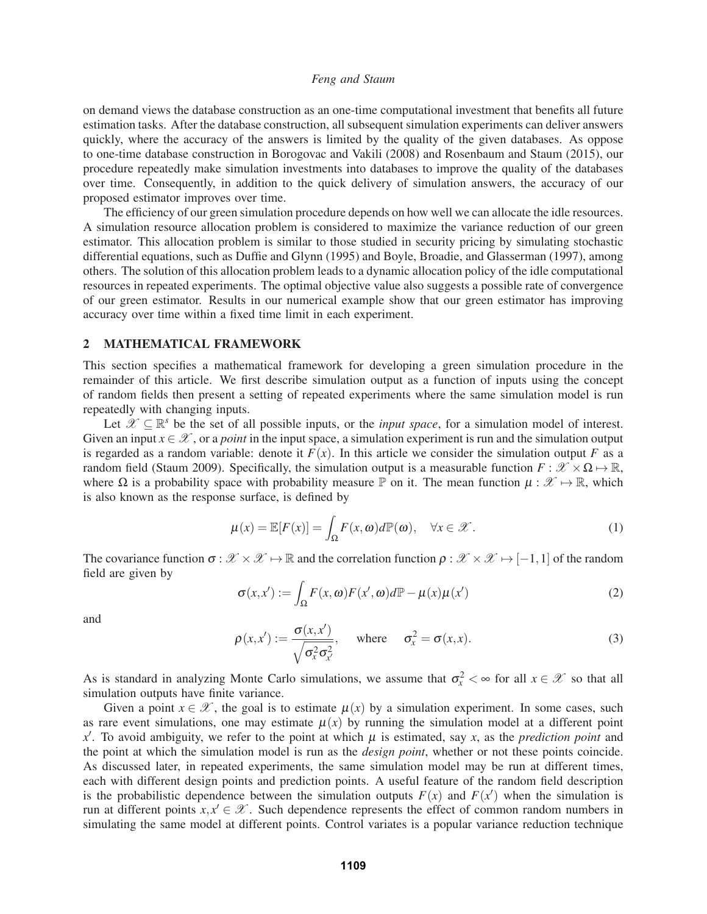on demand views the database construction as an one-time computational investment that benefits all future estimation tasks. After the database construction, all subsequent simulation experiments can deliver answers quickly, where the accuracy of the answers is limited by the quality of the given databases. As oppose to one-time database construction in Borogovac and Vakili (2008) and Rosenbaum and Staum (2015), our procedure repeatedly make simulation investments into databases to improve the quality of the databases over time. Consequently, in addition to the quick delivery of simulation answers, the accuracy of our proposed estimator improves over time.

The efficiency of our green simulation procedure depends on how well we can allocate the idle resources. A simulation resource allocation problem is considered to maximize the variance reduction of our green estimator. This allocation problem is similar to those studied in security pricing by simulating stochastic differential equations, such as Duffie and Glynn (1995) and Boyle, Broadie, and Glasserman (1997), among others. The solution of this allocation problem leads to a dynamic allocation policy of the idle computational resources in repeated experiments. The optimal objective value also suggests a possible rate of convergence of our green estimator. Results in our numerical example show that our green estimator has improving accuracy over time within a fixed time limit in each experiment.

## 2 MATHEMATICAL FRAMEWORK

This section specifies a mathematical framework for developing a green simulation procedure in the remainder of this article. We first describe simulation output as a function of inputs using the concept of random fields then present a setting of repeated experiments where the same simulation model is run repeatedly with changing inputs.

Let  $\mathscr{X} \subseteq \mathbb{R}^s$  be the set of all possible inputs, or the *input space*, for a simulation model of interest. Given an input  $x \in \mathcal{X}$ , or a *point* in the input space, a simulation experiment is run and the simulation output is regarded as a random variable: denote it  $F(x)$ . In this article we consider the simulation output F as a random field (Staum 2009). Specifically, the simulation output is a measurable function  $F : \mathcal{X} \times \Omega \mapsto \mathbb{R}$ , where  $\Omega$  is a probability space with probability measure  $\mathbb P$  on it. The mean function  $\mu : \mathscr X \mapsto \mathbb R$ , which is also known as the response surface, is defined by

$$
\mu(x) = \mathbb{E}[F(x)] = \int_{\Omega} F(x, \omega) d\mathbb{P}(\omega), \quad \forall x \in \mathcal{X}.
$$
 (1)

The covariance function  $\sigma : \mathcal{X} \times \mathcal{X} \mapsto \mathbb{R}$  and the correlation function  $\rho : \mathcal{X} \times \mathcal{X} \mapsto [-1,1]$  of the random field are given by

$$
\sigma(x, x') := \int_{\Omega} F(x, \omega) F(x', \omega) d\mathbb{P} - \mu(x) \mu(x')
$$
 (2)

and

$$
\rho(x, x') := \frac{\sigma(x, x')}{\sqrt{\sigma_x^2 \sigma_{x'}^2}}, \quad \text{where} \quad \sigma_x^2 = \sigma(x, x). \tag{3}
$$

As is standard in analyzing Monte Carlo simulations, we assume that  $\sigma_x^2 < \infty$  for all  $x \in \mathcal{X}$  so that all simulation outputs have finite variance.

Given a point  $x \in \mathcal{X}$ , the goal is to estimate  $\mu(x)$  by a simulation experiment. In some cases, such as rare event simulations, one may estimate  $\mu(x)$  by running the simulation model at a different point *x* . To avoid ambiguity, we refer to the point at which μ is estimated, say *x*, as the *prediction point* and the point at which the simulation model is run as the *design point*, whether or not these points coincide. As discussed later, in repeated experiments, the same simulation model may be run at different times, each with different design points and prediction points. A useful feature of the random field description is the probabilistic dependence between the simulation outputs  $F(x)$  and  $F(x')$  when the simulation is run at different points  $x, x' \in \mathcal{X}$ . Such dependence represents the effect of common random numbers in simulating the same model at different points. Control variates is a popular variance reduction technique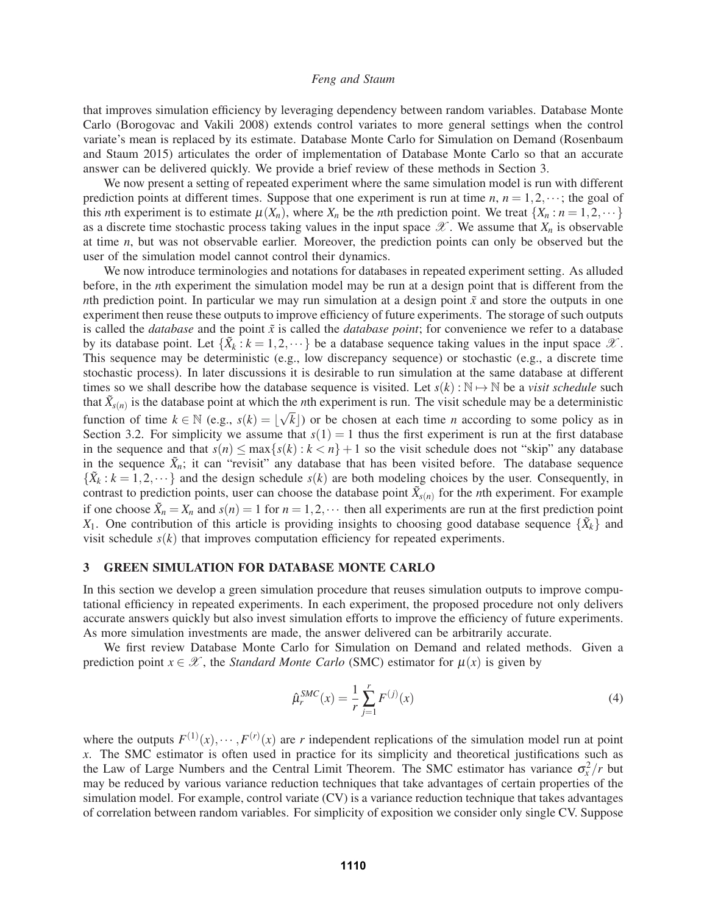that improves simulation efficiency by leveraging dependency between random variables. Database Monte Carlo (Borogovac and Vakili 2008) extends control variates to more general settings when the control variate's mean is replaced by its estimate. Database Monte Carlo for Simulation on Demand (Rosenbaum and Staum 2015) articulates the order of implementation of Database Monte Carlo so that an accurate answer can be delivered quickly. We provide a brief review of these methods in Section 3.

We now present a setting of repeated experiment where the same simulation model is run with different prediction points at different times. Suppose that one experiment is run at time  $n, n = 1, 2, \dots$ ; the goal of this *n*th experiment is to estimate  $\mu(X_n)$ , where  $X_n$  be the *n*th prediction point. We treat  $\{X_n : n = 1, 2, \dots\}$ as a discrete time stochastic process taking values in the input space  $\mathscr X$ . We assume that  $X_n$  is observable at time *n*, but was not observable earlier. Moreover, the prediction points can only be observed but the user of the simulation model cannot control their dynamics.

We now introduce terminologies and notations for databases in repeated experiment setting. As alluded before, in the *n*th experiment the simulation model may be run at a design point that is different from the *n*th prediction point. In particular we may run simulation at a design point  $\tilde{x}$  and store the outputs in one experiment then reuse these outputs to improve efficiency of future experiments. The storage of such outputs is called the *database* and the point  $\tilde{x}$  is called the *database point*; for convenience we refer to a database by its database point. Let  $\{\tilde{X}_k : k = 1, 2, \dots\}$  be a database sequence taking values in the input space  $\mathscr{X}$ . This sequence may be deterministic (e.g., low discrepancy sequence) or stochastic (e.g., a discrete time stochastic process). In later discussions it is desirable to run simulation at the same database at different times so we shall describe how the database sequence is visited. Let  $s(k): \mathbb{N} \to \mathbb{N}$  be a *visit schedule* such that  $\tilde{X}_{s(n)}$  is the database point at which the *n*th experiment is run. The visit schedule may be a deterministic function of time  $k \in \mathbb{N}$  (e.g.,  $s(k) = \lfloor \sqrt{k} \rfloor$ ) or be chosen at each time *n* according to some policy as in Section 3.2. For simplicity we assume that  $s(1) = 1$  thus the first experiment is run at the first database in the sequence and that  $s(n) \leq \max\{s(k): k < n\} + 1$  so the visit schedule does not "skip" any database in the sequence  $\tilde{X}_n$ ; it can "revisit" any database that has been visited before. The database sequence  $\{\tilde{X}_k : k = 1, 2, \dots\}$  and the design schedule  $s(k)$  are both modeling choices by the user. Consequently, in contrast to prediction points, user can choose the database point  $\tilde{X}_{s(n)}$  for the *n*th experiment. For example if one choose  $\tilde{X}_n = X_n$  and  $s(n) = 1$  for  $n = 1, 2, \cdots$  then all experiments are run at the first prediction point *X*<sub>1</sub>. One contribution of this article is providing insights to choosing good database sequence  $\{\tilde{X}_k\}$  and visit schedule  $s(k)$  that improves computation efficiency for repeated experiments.

### 3 GREEN SIMULATION FOR DATABASE MONTE CARLO

In this section we develop a green simulation procedure that reuses simulation outputs to improve computational efficiency in repeated experiments. In each experiment, the proposed procedure not only delivers accurate answers quickly but also invest simulation efforts to improve the efficiency of future experiments. As more simulation investments are made, the answer delivered can be arbitrarily accurate.

We first review Database Monte Carlo for Simulation on Demand and related methods. Given a prediction point  $x \in \mathcal{X}$ , the *Standard Monte Carlo* (SMC) estimator for  $\mu(x)$  is given by

$$
\hat{\mu}_r^{SMC}(x) = \frac{1}{r} \sum_{j=1}^r F^{(j)}(x)
$$
\n(4)

where the outputs  $F^{(1)}(x), \dots, F^{(r)}(x)$  are *r* independent replications of the simulation model run at point *x*. The SMC estimator is often used in practice for its simplicity and theoretical justifications such as the Law of Large Numbers and the Central Limit Theorem. The SMC estimator has variance  $\sigma_x^2/r$  but may be reduced by various variance reduction techniques that take advantages of certain properties of the simulation model. For example, control variate (CV) is a variance reduction technique that takes advantages of correlation between random variables. For simplicity of exposition we consider only single CV. Suppose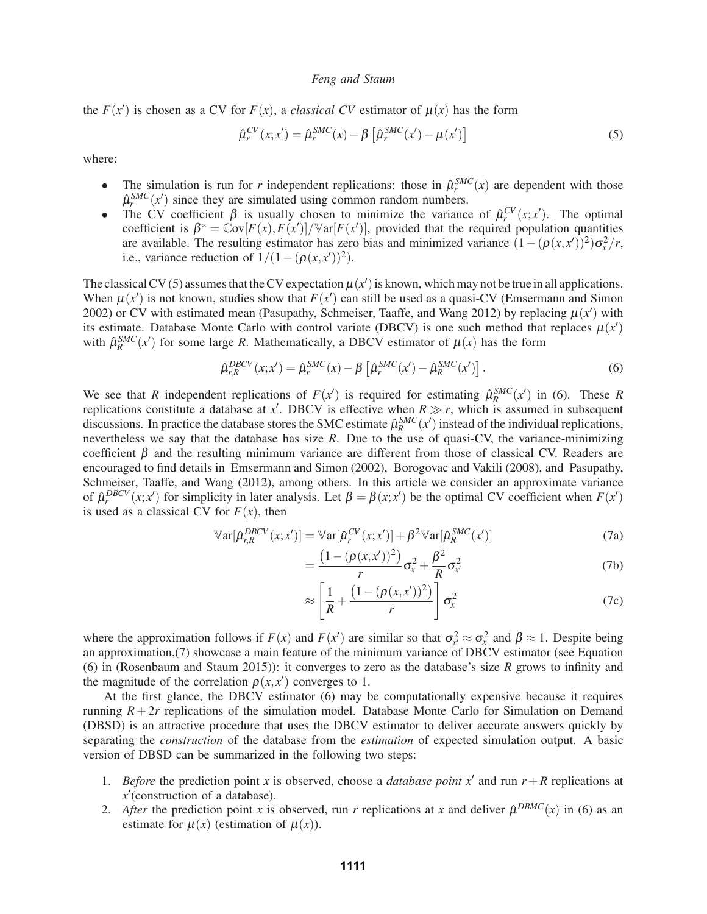the  $F(x')$  is chosen as a CV for  $F(x)$ , a *classical CV* estimator of  $\mu(x)$  has the form

$$
\hat{\mu}_r^{CV}(x; x') = \hat{\mu}_r^{SMC}(x) - \beta \left[ \hat{\mu}_r^{SMC}(x') - \mu(x') \right]
$$
\n(5)

where:

- The simulation is run for *r* independent replications: those in  $\hat{\mu}_r^{SMC}(x)$  are dependent with those  $\hat{\mu}_r^{SMC}(x')$  since they are simulated using common random numbers.
- The CV coefficient  $\beta$  is usually chosen to minimize the variance of  $\hat{\mu}_r^{CV}(x; x')$ . The optimal coefficient is  $\beta^* = \text{Cov}[F(x), F(x')]$  /  $\text{Var}[F(x')]$ , provided that the required population quantities are available. The resulting estimator has zero bias and minimized variance  $(1 - (\rho(x, x'))^2)\sigma_x^2/r$ , i.e., variance reduction of  $1/(1-(\rho(x,x'))^2)$ .

The classical CV (5) assumes that the CV expectation  $\mu(x')$  is known, which may not be true in all applications. When  $\mu(x')$  is not known, studies show that  $F(x')$  can still be used as a quasi-CV (Emsermann and Simon 2002) or CV with estimated mean (Pasupathy, Schmeiser, Taaffe, and Wang 2012) by replacing  $\mu(x')$  with its estimate. Database Monte Carlo with control variate (DBCV) is one such method that replaces  $\mu(x')$ with  $\hat{\mu}_R^{SMC}(x')$  for some large *R*. Mathematically, a DBCV estimator of  $\mu(x)$  has the form

$$
\hat{\mu}_{r,R}^{DBCV}(x;x') = \hat{\mu}_r^{SMC}(x) - \beta \left[ \hat{\mu}_r^{SMC}(x') - \hat{\mu}_R^{SMC}(x') \right]. \tag{6}
$$

We see that *R* independent replications of  $F(x')$  is required for estimating  $\hat{\mu}_R^{SMC}(x')$  in (6). These *R* replications constitute a database at *x*<sup> $\prime$ </sup>. DBCV is effective when  $R \gg r$ , which is assumed in subsequent discussions. In practice the database stores the SMC estimate  $\hat{\mu}_R^{SMC}(x')$  instead of the individual replications, nevertheless we say that the database has size *R*. Due to the use of quasi-CV, the variance-minimizing coefficient  $\beta$  and the resulting minimum variance are different from those of classical CV. Readers are encouraged to find details in Emsermann and Simon (2002), Borogovac and Vakili (2008), and Pasupathy, Schmeiser, Taaffe, and Wang (2012), among others. In this article we consider an approximate variance of  $\hat{\mu}_r^{DBCV}(x; x')$  for simplicity in later analysis. Let  $\beta = \beta(x; x')$  be the optimal CV coefficient when  $F(x')$ is used as a classical CV for  $F(x)$ , then

$$
\mathbb{V}\text{ar}[\hat{\mu}_{r,R}^{DBCV}(x;x')] = \mathbb{V}\text{ar}[\hat{\mu}_r^{CV}(x;x')] + \beta^2 \mathbb{V}\text{ar}[\hat{\mu}_R^{SMC}(x')] \tag{7a}
$$

$$
=\frac{(1-(\rho(x,x'))^2)}{r}\sigma_x^2+\frac{\beta^2}{R}\sigma_{x'}^2\tag{7b}
$$

$$
\approx \left[\frac{1}{R} + \frac{\left(1 - (\rho(x, x'))^2\right)}{r}\right] \sigma_x^2 \tag{7c}
$$

where the approximation follows if  $F(x)$  and  $F(x')$  are similar so that  $\sigma_x^2 \approx \sigma_x^2$  and  $\beta \approx 1$ . Despite being an approximation,(7) showcase a main feature of the minimum variance of DBCV estimator (see Equation (6) in (Rosenbaum and Staum 2015)): it converges to zero as the database's size *R* grows to infinity and the magnitude of the correlation  $\rho(x, x')$  converges to 1.

At the first glance, the DBCV estimator (6) may be computationally expensive because it requires running  $R + 2r$  replications of the simulation model. Database Monte Carlo for Simulation on Demand (DBSD) is an attractive procedure that uses the DBCV estimator to deliver accurate answers quickly by separating the *construction* of the database from the *estimation* of expected simulation output. A basic version of DBSD can be summarized in the following two steps:

- 1. *Before* the prediction point *x* is observed, choose a *database point*  $x'$  and run  $r + R$  replications at *x* (construction of a database).
- 2. *After* the prediction point *x* is observed, run *r* replications at *x* and deliver  $\hat{\mu}^{DBMC}(x)$  in (6) as an estimate for  $\mu(x)$  (estimation of  $\mu(x)$ ).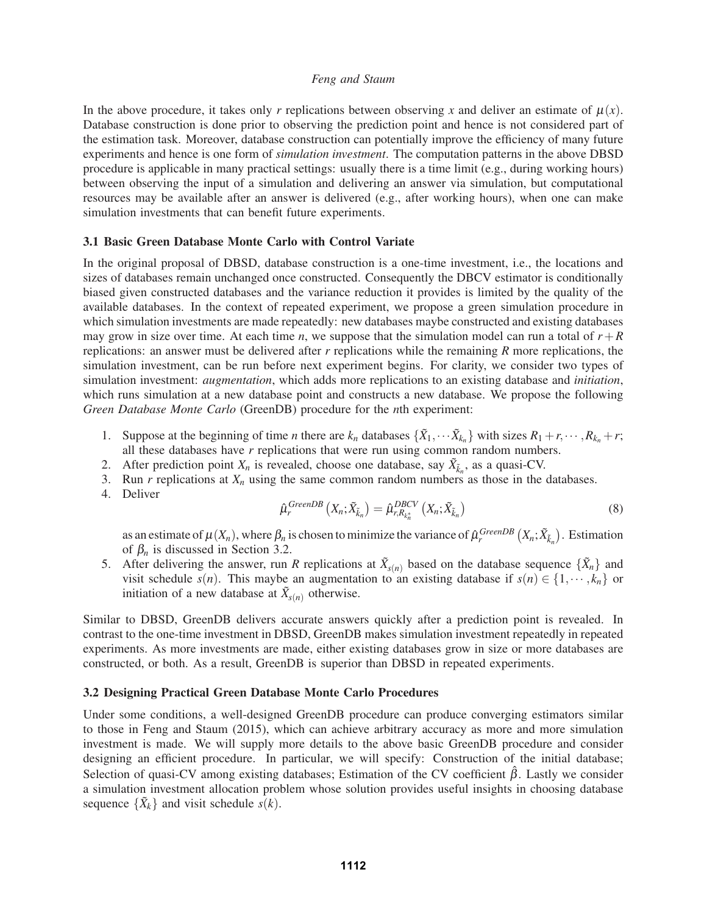In the above procedure, it takes only *r* replications between observing *x* and deliver an estimate of  $\mu(x)$ . Database construction is done prior to observing the prediction point and hence is not considered part of the estimation task. Moreover, database construction can potentially improve the efficiency of many future experiments and hence is one form of *simulation investment*. The computation patterns in the above DBSD procedure is applicable in many practical settings: usually there is a time limit (e.g., during working hours) between observing the input of a simulation and delivering an answer via simulation, but computational resources may be available after an answer is delivered (e.g., after working hours), when one can make simulation investments that can benefit future experiments.

## 3.1 Basic Green Database Monte Carlo with Control Variate

In the original proposal of DBSD, database construction is a one-time investment, i.e., the locations and sizes of databases remain unchanged once constructed. Consequently the DBCV estimator is conditionally biased given constructed databases and the variance reduction it provides is limited by the quality of the available databases. In the context of repeated experiment, we propose a green simulation procedure in which simulation investments are made repeatedly: new databases maybe constructed and existing databases may grow in size over time. At each time *n*, we suppose that the simulation model can run a total of  $r + R$ replications: an answer must be delivered after *r* replications while the remaining *R* more replications, the simulation investment, can be run before next experiment begins. For clarity, we consider two types of simulation investment: *augmentation*, which adds more replications to an existing database and *initiation*, which runs simulation at a new database point and constructs a new database. We propose the following *Green Database Monte Carlo* (GreenDB) procedure for the *n*th experiment:

- 1. Suppose at the beginning of time *n* there are  $k_n$  databases  $\{\tilde{X}_1, \dots, \tilde{X}_{k_n}\}$  with sizes  $R_1 + r, \dots, R_{k_n} + r$ ; all these databases have *r* replications that were run using common random numbers.
- 2. After prediction point  $X_n$  is revealed, choose one database, say  $\tilde{X}_{\tilde{k}_n}$ , as a quasi-CV.
- 3. Run  $r$  replications at  $X_n$  using the same common random numbers as those in the databases.
- 4. Deliver

$$
\hat{\mu}_r^{GreenDB} \left( X_n; \tilde{X}_{\tilde{k}_n} \right) = \hat{\mu}_{r, R_{k_n^*}}^{DBCV} \left( X_n; \tilde{X}_{\tilde{k}_n} \right) \tag{8}
$$

as an estimate of  $\mu(X_n)$ , where  $\beta_n$  is chosen to minimize the variance of  $\hat{\mu}_r^{GreenDB}(X_n; \tilde{X}_{\tilde{k}_n})$ . Estimation of  $\beta_n$  is discussed in Section 3.2.

5. After delivering the answer, run *R* replications at  $\tilde{X}_{s(n)}$  based on the database sequence  $\{\tilde{X}_n\}$  and visit schedule *s*(*n*). This maybe an augmentation to an existing database if  $s(n) \in \{1, \dots, k_n\}$  or initiation of a new database at  $\tilde{X}_{s(n)}$  otherwise.

Similar to DBSD, GreenDB delivers accurate answers quickly after a prediction point is revealed. In contrast to the one-time investment in DBSD, GreenDB makes simulation investment repeatedly in repeated experiments. As more investments are made, either existing databases grow in size or more databases are constructed, or both. As a result, GreenDB is superior than DBSD in repeated experiments.

### 3.2 Designing Practical Green Database Monte Carlo Procedures

Under some conditions, a well-designed GreenDB procedure can produce converging estimators similar to those in Feng and Staum (2015), which can achieve arbitrary accuracy as more and more simulation investment is made. We will supply more details to the above basic GreenDB procedure and consider designing an efficient procedure. In particular, we will specify: Construction of the initial database; Selection of quasi-CV among existing databases; Estimation of the CV coefficient  $\hat{\beta}$ . Lastly we consider a simulation investment allocation problem whose solution provides useful insights in choosing database sequence  $\{\tilde{X}_k\}$  and visit schedule  $\tilde{s}(k)$ .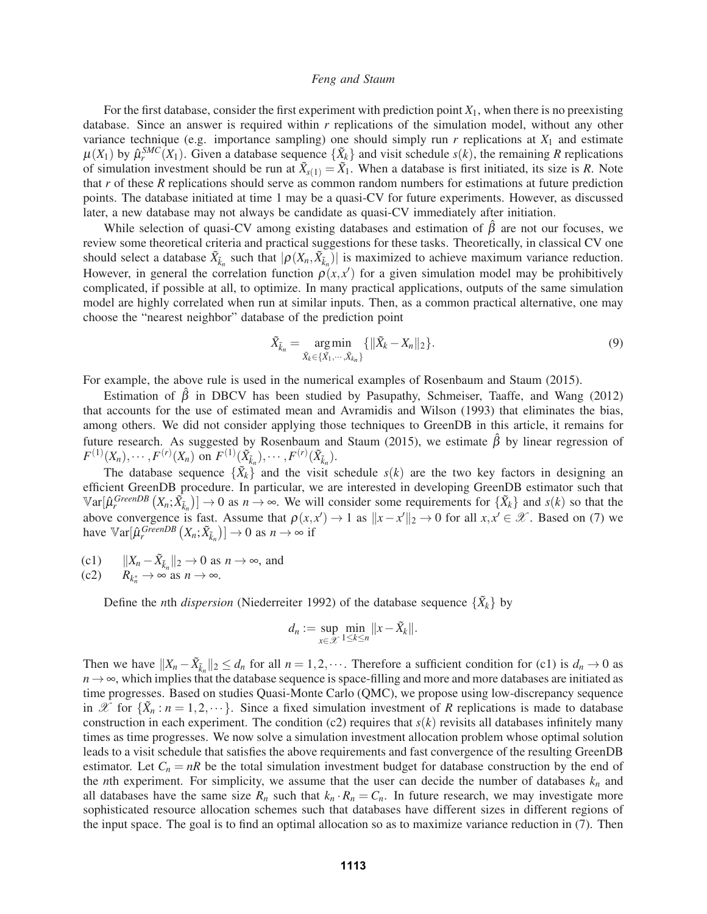For the first database, consider the first experiment with prediction point  $X_1$ , when there is no preexisting database. Since an answer is required within *r* replications of the simulation model, without any other variance technique (e.g. importance sampling) one should simply run  $r$  replications at  $X_1$  and estimate  $\mu(X_1)$  by  $\hat{\mu}_r^{SMC}(X_1)$ . Given a database sequence  $\{\tilde{X}_k\}$  and visit schedule  $s(k)$ , the remaining *R* replications of simulation investment should be run at  $\tilde{X}_{s(1)} = \tilde{X}_1$ . When a database is first initiated, its size is *R*. Note that *r* of these *R* replications should serve as common random numbers for estimations at future prediction points. The database initiated at time 1 may be a quasi-CV for future experiments. However, as discussed later, a new database may not always be candidate as quasi-CV immediately after initiation.

While selection of quasi-CV among existing databases and estimation of  $\hat{\beta}$  are not our focuses, we review some theoretical criteria and practical suggestions for these tasks. Theoretically, in classical CV one should select a database  $\tilde{X}_{\tilde{k}_n}$  such that  $|\rho(X_n, \tilde{X}_{\tilde{k}_n})|$  is maximized to achieve maximum variance reduction. However, in general the correlation function  $\rho(x, x')$  for a given simulation model may be prohibitively complicated, if possible at all, to optimize. In many practical applications, outputs of the same simulation model are highly correlated when run at similar inputs. Then, as a common practical alternative, one may choose the "nearest neighbor" database of the prediction point

$$
\tilde{X}_{\tilde{k}_n} = \underset{\tilde{X}_k \in \{\tilde{X}_1, \cdots, \tilde{X}_{k_n}\}}{\arg \min} \{ ||\tilde{X}_k - X_n||_2 \}.
$$
\n(9)

For example, the above rule is used in the numerical examples of Rosenbaum and Staum (2015).

Estimation of  $\hat{\beta}$  in DBCV has been studied by Pasupathy, Schmeiser, Taaffe, and Wang (2012) that accounts for the use of estimated mean and Avramidis and Wilson (1993) that eliminates the bias, among others. We did not consider applying those techniques to GreenDB in this article, it remains for future research. As suggested by Rosenbaum and Staum (2015), we estimate  $\hat{\beta}$  by linear regression of  $F^{(1)}(X_n), \cdots, F^{(r)}(X_n)$  on  $F^{(1)}(\tilde{X}_{\tilde{k}_n}), \cdots, F^{(r)}(\tilde{X}_{\tilde{k}_n}).$ 

The database sequence  $\{\tilde{X}_k\}$  and the visit schedule  $s(k)$  are the two key factors in designing an efficient GreenDB procedure. In particular, we are interested in developing GreenDB estimator such that  $\mathbb{V}\text{ar}[\hat{\mu}_r^{GreenDB}(X_n; \tilde{X}_{\tilde{k}_n})] \to 0$  as  $n \to \infty$ . We will consider some requirements for  $\{\tilde{X}_k\}$  and  $s(k)$  so that the above convergence is fast. Assume that  $\rho(x, x') \to 1$  as  $||x - x'||_2 \to 0$  for all  $x, x' \in \mathcal{X}$ . Based on (7) we have  $\mathbb{V}\text{ar}[\hat{\mu}_r^{\text{GreenDB}}(X_n; \tilde{X}_{\tilde{k}_n})] \to 0$  as  $n \to \infty$  if

- (c1)  $||X_n \tilde{X}_{\tilde{k}_n}||_2 \to 0$  as  $n \to \infty$ , and
- $(c2)$  $n_n \to \infty$  as  $n \to \infty$ .

Define the *n*th *dispersion* (Niederreiter 1992) of the database sequence  $\{\tilde{X}_k\}$  by

$$
d_n := \sup_{x \in \mathcal{X}} \min_{1 \le k \le n} ||x - \tilde{X}_k||.
$$

Then we have  $||X_n - \tilde{X}_{\tilde{k}_n}||_2 \le d_n$  for all  $n = 1, 2, \cdots$ . Therefore a sufficient condition for (c1) is  $d_n \to 0$  as  $n \to \infty$ , which implies that the database sequence is space-filling and more and more databases are initiated as time progresses. Based on studies Quasi-Monte Carlo (QMC), we propose using low-discrepancy sequence in X for  $\{\hat{X}_n : n = 1, 2, \dots\}$ . Since a fixed simulation investment of R replications is made to database construction in each experiment. The condition (c2) requires that *s*(*k*) revisits all databases infinitely many times as time progresses. We now solve a simulation investment allocation problem whose optimal solution leads to a visit schedule that satisfies the above requirements and fast convergence of the resulting GreenDB estimator. Let  $C_n = nR$  be the total simulation investment budget for database construction by the end of the *n*th experiment. For simplicity, we assume that the user can decide the number of databases  $k_n$  and all databases have the same size  $R_n$  such that  $k_n \cdot R_n = C_n$ . In future research, we may investigate more sophisticated resource allocation schemes such that databases have different sizes in different regions of the input space. The goal is to find an optimal allocation so as to maximize variance reduction in (7). Then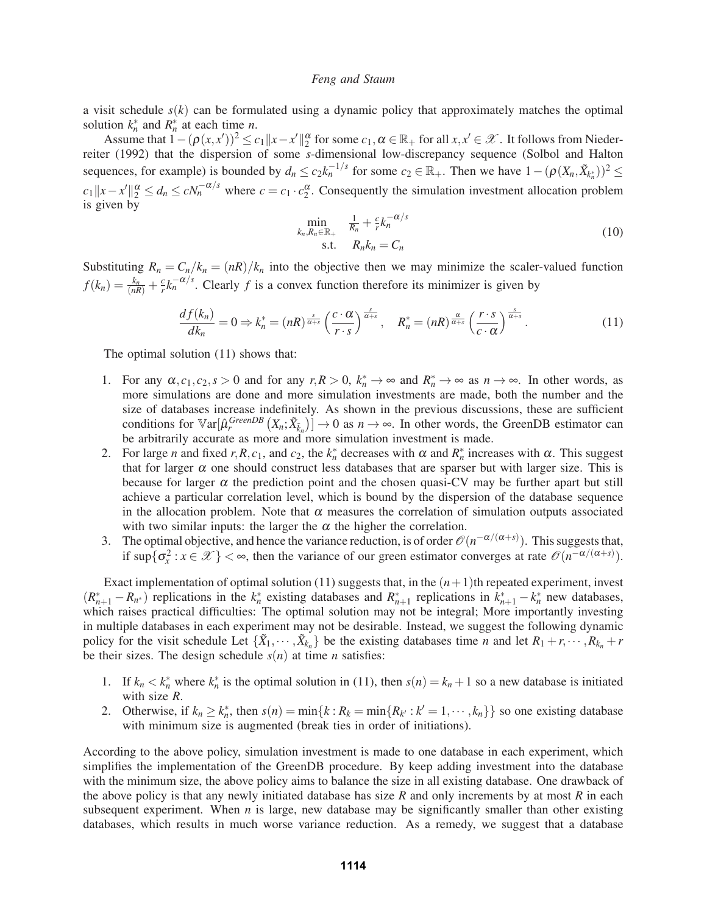a visit schedule *s*(*k*) can be formulated using a dynamic policy that approximately matches the optimal solution  $k_n^*$  and  $R_n^*$  at each time *n*.

Assume that  $1 - (\rho(x, x'))^2 \le c_1 ||x - x'||_2^{\alpha}$  for some  $c_1, \alpha \in \mathbb{R}_+$  for all  $x, x' \in \mathcal{X}$ . It follows from Niederreiter (1992) that the dispersion of some *s*-dimensional low-discrepancy sequence (Solbol and Halton sequences, for example) is bounded by  $d_n \le c_2 k_n^{-1/s}$  for some  $c_2 \in \mathbb{R}_+$ . Then we have  $1 - (\rho(X_n, \tilde{X}_{k_n^*}))^2 \le$  $c_1 ||x - x'||_2^{\alpha} \leq d_n \leq cN_n^{-\alpha/s}$  where  $c = c_1 \cdot c_2^{\alpha}$ . Consequently the simulation investment allocation problem is given by

$$
\min_{k_n, R_n \in \mathbb{R}_+} \quad \frac{1}{R_n} + \frac{c}{r} k_n^{-\alpha/s}
$$
\n
$$
\text{s.t.} \quad R_n k_n = C_n \tag{10}
$$

Substituting  $R_n = C_n/k_n = (nR)/k_n$  into the objective then we may minimize the scaler-valued function  $f(k_n) = \frac{k_n}{(nR)} + \frac{c}{r}k_n^{-\alpha/s}$ . Clearly *f* is a convex function therefore its minimizer is given by

$$
\frac{df(k_n)}{dk_n} = 0 \Rightarrow k_n^* = (nR)^{\frac{s}{\alpha+s}} \left(\frac{c \cdot \alpha}{r \cdot s}\right)^{\frac{s}{\alpha+s}}, \quad R_n^* = (nR)^{\frac{\alpha}{\alpha+s}} \left(\frac{r \cdot s}{c \cdot \alpha}\right)^{\frac{s}{\alpha+s}}.
$$
\n(11)

The optimal solution (11) shows that:

- 1. For any  $\alpha$ ,  $c_1$ ,  $c_2$ ,  $s > 0$  and for any  $r, R > 0$ ,  $k_n^* \to \infty$  and  $R_n^* \to \infty$  as  $n \to \infty$ . In other words, as more simulations are done and more simulation investments are made, both the number and the size of databases increase indefinitely. As shown in the previous discussions, these are sufficient conditions for  $\mathbb{V}\text{ar}[\hat{\mu}_r^{\text{GreenDB}}(X_n; \tilde{X}_{\tilde{k}_n})] \to 0$  as  $n \to \infty$ . In other words, the GreenDB estimator can be arbitrarily accurate as more and more simulation investment is made.
- 2. For large *n* and fixed *r*,*R*,*c*<sub>1</sub>, and *c*<sub>2</sub>, the *k*<sup>\*</sup><sub>*n*</sub></sub> decreases with  $\alpha$  and  $R^*$ <sup>*n*</sup> increases with  $\alpha$ . This suggest that for larger  $\alpha$  one should construct less databases that are sparser but with larger size. This is because for larger  $\alpha$  the prediction point and the chosen quasi-CV may be further apart but still achieve a particular correlation level, which is bound by the dispersion of the database sequence in the allocation problem. Note that  $\alpha$  measures the correlation of simulation outputs associated with two similar inputs: the larger the  $\alpha$  the higher the correlation.
- 3. The optimal objective, and hence the variance reduction, is of order  $\mathcal{O}(n^{-\alpha/(\alpha+s)})$ . This suggests that, if  $\sup\{\sigma_x^2 : x \in \mathcal{X}\}$  <  $\infty$ , then the variance of our green estimator converges at rate  $\mathcal{O}(n^{-\alpha/(\alpha+s)})$ .

Exact implementation of optimal solution (11) suggests that, in the  $(n+1)$ th repeated experiment, invest  $(R_{n+1}^* - R_{n^*})$  replications in the  $k_n^*$  existing databases and  $R_{n+1}^*$  replications in  $k_{n+1}^* - k_n^*$  new databases, which raises practical difficulties: The optimal solution may not be integral; More importantly investing in multiple databases in each experiment may not be desirable. Instead, we suggest the following dynamic policy for the visit schedule Let  $\{\tilde{X}_1, \dots, \tilde{X}_{k_n}\}$  be the existing databases time *n* and let  $R_1 + r, \dots, R_{k_n} + r$ be their sizes. The design schedule  $s(n)$  at time *n* satisfies:

- 1. If  $k_n < k_n^*$  where  $k_n^*$  is the optimal solution in (11), then  $s(n) = k_n + 1$  so a new database is initiated with size *R*.
- 2. Otherwise, if  $k_n \geq k_n^*$ , then  $s(n) = \min\{k : R_k = \min\{R_{k'} : k' = 1, \dots, k_n\}\}$  so one existing database with minimum size is augmented (break ties in order of initiations).

According to the above policy, simulation investment is made to one database in each experiment, which simplifies the implementation of the GreenDB procedure. By keep adding investment into the database with the minimum size, the above policy aims to balance the size in all existing database. One drawback of the above policy is that any newly initiated database has size *R* and only increments by at most *R* in each subsequent experiment. When *n* is large, new database may be significantly smaller than other existing databases, which results in much worse variance reduction. As a remedy, we suggest that a database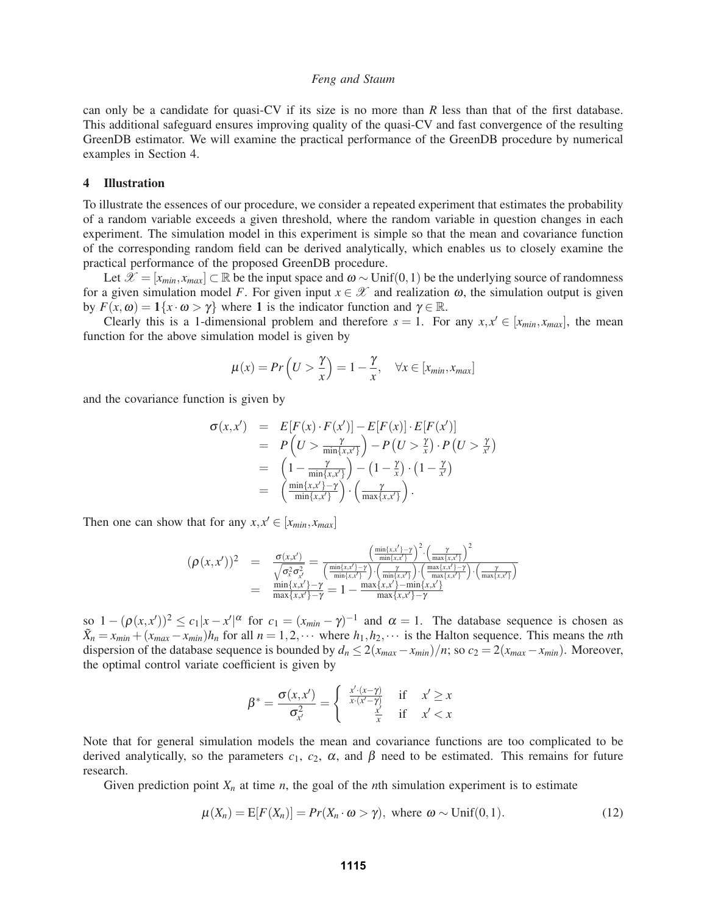can only be a candidate for quasi-CV if its size is no more than *R* less than that of the first database. This additional safeguard ensures improving quality of the quasi-CV and fast convergence of the resulting GreenDB estimator. We will examine the practical performance of the GreenDB procedure by numerical examples in Section 4.

## 4 Illustration

To illustrate the essences of our procedure, we consider a repeated experiment that estimates the probability of a random variable exceeds a given threshold, where the random variable in question changes in each experiment. The simulation model in this experiment is simple so that the mean and covariance function of the corresponding random field can be derived analytically, which enables us to closely examine the practical performance of the proposed GreenDB procedure.

Let  $\mathcal{X} = [x_{min}, x_{max}]$  ⊂ R be the input space and  $\omega \sim \text{Unif}(0,1)$  be the underlying source of randomness for a given simulation model *F*. For given input  $x \in \mathcal{X}$  and realization  $\omega$ , the simulation output is given by  $F(x, ω) = 1\{x \cdot ω > γ\}$  where 1 is the indicator function and  $γ \in \mathbb{R}$ .

Clearly this is a 1-dimensional problem and therefore  $s = 1$ . For any  $x, x' \in [x_{min}, x_{max}]$ , the mean function for the above simulation model is given by

$$
\mu(x) = Pr\left(U > \frac{\gamma}{x}\right) = 1 - \frac{\gamma}{x}, \quad \forall x \in [x_{min}, x_{max}]
$$

and the covariance function is given by

$$
\sigma(x, x') = E[F(x) \cdot F(x')] - E[F(x)] \cdot E[F(x')] \n= P\left(U > \frac{\gamma}{\min\{x, x'\}}\right) - P\left(U > \frac{\gamma}{x}\right) \cdot P\left(U > \frac{\gamma}{x'}\right) \n= \left(1 - \frac{\gamma}{\min\{x, x'\}}\right) - \left(1 - \frac{\gamma}{x}\right) \cdot \left(1 - \frac{\gamma}{x'}\right) \n= \left(\frac{\min\{x, x'\} - \gamma}{\min\{x, x'\}}\right) \cdot \left(\frac{\gamma}{\max\{x, x'\}}\right).
$$

Then one can show that for any  $x, x' \in [x_{min}, x_{max}]$ 

$$
(\rho(x,x'))^2 = \frac{\sigma(x,x')}{\sqrt{\sigma_x^2 \sigma_{x'}^2}} = \frac{\left(\frac{\min\{x,x'\}-\gamma}{\min\{x,x'\}\right)^2 \cdot \left(\frac{\gamma}{\max\{x,x'\}\right)^2}}\right)^2}{\left(\frac{\min\{x,x'\}-\gamma}{\min\{x,x'\}\right) \cdot \left(\frac{\gamma}{\min\{x,x'\}\right) \cdot \left(\frac{\max\{x,x'\}-\gamma}{\max\{x,x'\}-\gamma}\right) \cdot \left(\frac{\gamma}{\max\{x,x'\}-\gamma}\right)}}{ \frac{\min\{x,x'\}-\gamma}{\max\{x,x'\}-\gamma} = 1 - \frac{\max\{x,x'\}-\gamma}{\max\{x,x'\}-\gamma}
$$

so  $1 - (\rho(x, x'))^2 \le c_1 |x - x'|^{\alpha}$  for  $c_1 = (x_{min} - \gamma)^{-1}$  and  $\alpha = 1$ . The database sequence is chosen as  $\tilde{X}_n = x_{min} + (x_{max} - x_{min})h_n$  for all  $n = 1, 2, \cdots$  where  $h_1, h_2, \cdots$  is the Halton sequence. This means the *n*th dispersion of the database sequence is bounded by  $d_n \leq 2(x_{max} - x_{min})/n$ ; so  $c_2 = 2(x_{max} - x_{min})$ . Moreover, the optimal control variate coefficient is given by

$$
\beta^* = \frac{\sigma(x, x')}{\sigma_{x'}^2} = \begin{cases} \frac{x' \cdot (x - \gamma)}{x \cdot (x' - \gamma)} & \text{if } x' \ge x \\ \frac{x'}{x} & \text{if } x' < x \end{cases}
$$

Note that for general simulation models the mean and covariance functions are too complicated to be derived analytically, so the parameters  $c_1$ ,  $c_2$ ,  $\alpha$ , and  $\beta$  need to be estimated. This remains for future research.

Given prediction point  $X_n$  at time *n*, the goal of the *n*th simulation experiment is to estimate

$$
\mu(X_n) = E[F(X_n)] = Pr(X_n \cdot \omega > \gamma), \text{ where } \omega \sim \text{Unif}(0,1). \tag{12}
$$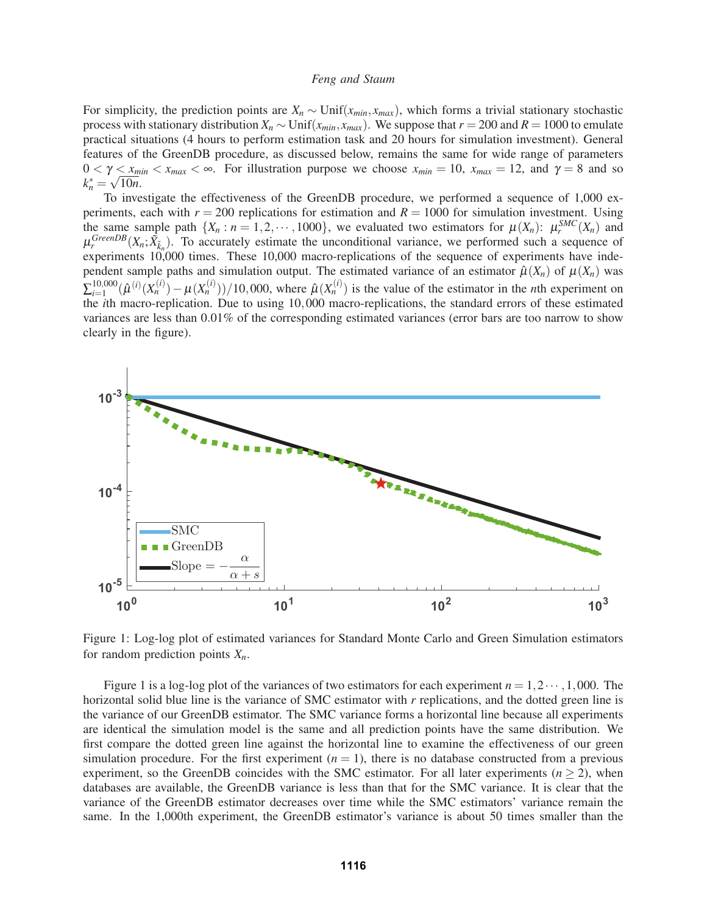For simplicity, the prediction points are *Xn* ∼ Unif(*xmin*, *xmax*), which forms a trivial stationary stochastic process with stationary distribution  $X_n \sim \text{Unif}(x_{min}, x_{max})$ . We suppose that  $r = 200$  and  $R = 1000$  to emulate practical situations (4 hours to perform estimation task and 20 hours for simulation investment). General features of the GreenDB procedure, as discussed below, remains the same for wide range of parameters  $0 < \gamma \leq x_{min} < x_{max} < \infty$ . For illustration purpose we choose  $x_{min} = 10$ ,  $x_{max} = 12$ , and  $\gamma = 8$  and so  $k_n^* = \sqrt{10n}$ .

To investigate the effectiveness of the GreenDB procedure, we performed a sequence of 1,000 experiments, each with  $r = 200$  replications for estimation and  $R = 1000$  for simulation investment. Using the same sample path  $\{X_n : n = 1, 2, \dots, 1000\}$ , we evaluated two estimators for  $\mu(X_n) : \mu_r^{SMC}(X_n)$  and  $\mu_r^{GreenDB}(X_n; \tilde{X}_{\tilde{k}_n})$ . To accurately estimate the unconditional variance, we performed such a sequence of experiments 10,000 times. These 10,000 macro-replications of the sequence of experiments have independent sample paths and simulation output. The estimated variance of an estimator  $\hat{\mu}(X_n)$  of  $\mu(X_n)$  was  $\sum_{i=1}^{10,000} (\hat{\mu}^{(i)}(X_n^{(i)}) - \mu(X_n^{(i)}))/10,000$ , where  $\hat{\mu}(X_n^{(i)})$  is the value of the estimator in the *n*th experiment on the *i*th macro-replication. Due to using 10,000 macro-replications, the standard errors of these estimated variances are less than 0.01% of the corresponding estimated variances (error bars are too narrow to show clearly in the figure).



Figure 1: Log-log plot of estimated variances for Standard Monte Carlo and Green Simulation estimators for random prediction points  $X_n$ .

Figure 1 is a log-log plot of the variances of two estimators for each experiment  $n = 1, 2 \cdots, 1,000$ . The horizontal solid blue line is the variance of SMC estimator with *r* replications, and the dotted green line is the variance of our GreenDB estimator. The SMC variance forms a horizontal line because all experiments are identical the simulation model is the same and all prediction points have the same distribution. We first compare the dotted green line against the horizontal line to examine the effectiveness of our green simulation procedure. For the first experiment  $(n = 1)$ , there is no database constructed from a previous experiment, so the GreenDB coincides with the SMC estimator. For all later experiments  $(n \geq 2)$ , when databases are available, the GreenDB variance is less than that for the SMC variance. It is clear that the variance of the GreenDB estimator decreases over time while the SMC estimators' variance remain the same. In the 1,000th experiment, the GreenDB estimator's variance is about 50 times smaller than the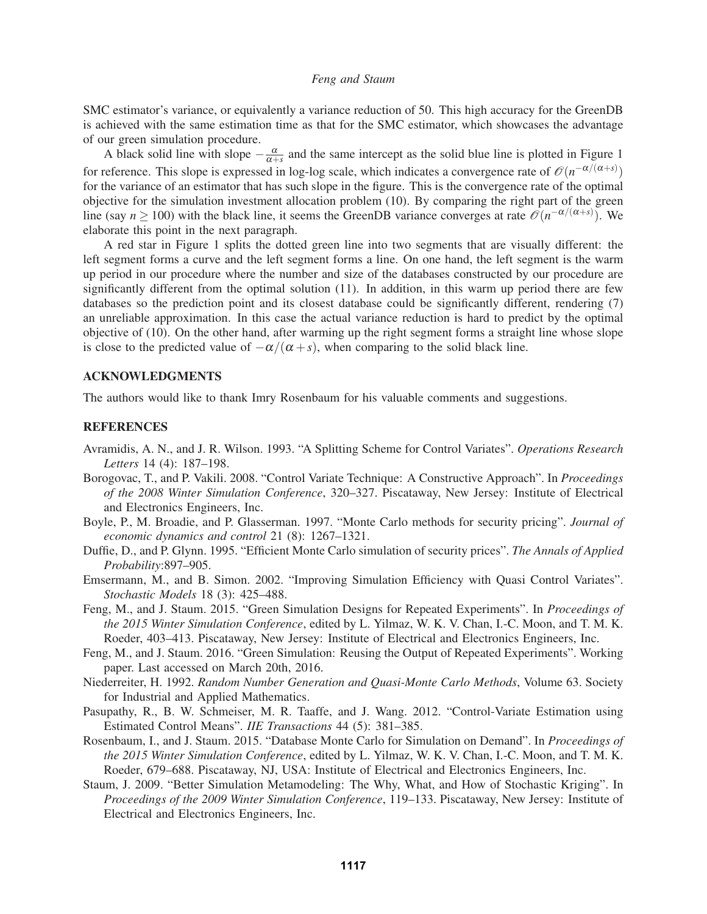SMC estimator's variance, or equivalently a variance reduction of 50. This high accuracy for the GreenDB is achieved with the same estimation time as that for the SMC estimator, which showcases the advantage of our green simulation procedure.

A black solid line with slope  $-\frac{\alpha}{\alpha+s}$  and the same intercept as the solid blue line is plotted in Figure 1 for reference. This slope is expressed in log-log scale, which indicates a convergence rate of  $\mathcal{O}(n^{-\alpha/(\alpha+s)})$ for the variance of an estimator that has such slope in the figure. This is the convergence rate of the optimal objective for the simulation investment allocation problem (10). By comparing the right part of the green line (say  $n \ge 100$ ) with the black line, it seems the GreenDB variance converges at rate  $\mathcal{O}(n^{-\alpha/(\alpha+s)})$ . We elaborate this point in the next paragraph.

A red star in Figure 1 splits the dotted green line into two segments that are visually different: the left segment forms a curve and the left segment forms a line. On one hand, the left segment is the warm up period in our procedure where the number and size of the databases constructed by our procedure are significantly different from the optimal solution (11). In addition, in this warm up period there are few databases so the prediction point and its closest database could be significantly different, rendering (7) an unreliable approximation. In this case the actual variance reduction is hard to predict by the optimal objective of (10). On the other hand, after warming up the right segment forms a straight line whose slope is close to the predicted value of  $-\alpha/(\alpha + s)$ , when comparing to the solid black line.

## ACKNOWLEDGMENTS

The authors would like to thank Imry Rosenbaum for his valuable comments and suggestions.

## **REFERENCES**

- Avramidis, A. N., and J. R. Wilson. 1993. "A Splitting Scheme for Control Variates". *Operations Research Letters* 14 (4): 187–198.
- Borogovac, T., and P. Vakili. 2008. "Control Variate Technique: A Constructive Approach". In *Proceedings of the 2008 Winter Simulation Conference*, 320–327. Piscataway, New Jersey: Institute of Electrical and Electronics Engineers, Inc.
- Boyle, P., M. Broadie, and P. Glasserman. 1997. "Monte Carlo methods for security pricing". *Journal of economic dynamics and control* 21 (8): 1267–1321.
- Duffie, D., and P. Glynn. 1995. "Efficient Monte Carlo simulation of security prices". *The Annals of Applied Probability*:897–905.
- Emsermann, M., and B. Simon. 2002. "Improving Simulation Efficiency with Quasi Control Variates". *Stochastic Models* 18 (3): 425–488.
- Feng, M., and J. Staum. 2015. "Green Simulation Designs for Repeated Experiments". In *Proceedings of the 2015 Winter Simulation Conference*, edited by L. Yilmaz, W. K. V. Chan, I.-C. Moon, and T. M. K. Roeder, 403–413. Piscataway, New Jersey: Institute of Electrical and Electronics Engineers, Inc.
- Feng, M., and J. Staum. 2016. "Green Simulation: Reusing the Output of Repeated Experiments". Working paper. Last accessed on March 20th, 2016.
- Niederreiter, H. 1992. *Random Number Generation and Quasi-Monte Carlo Methods*, Volume 63. Society for Industrial and Applied Mathematics.
- Pasupathy, R., B. W. Schmeiser, M. R. Taaffe, and J. Wang. 2012. "Control-Variate Estimation using Estimated Control Means". *IIE Transactions* 44 (5): 381–385.
- Rosenbaum, I., and J. Staum. 2015. "Database Monte Carlo for Simulation on Demand". In *Proceedings of the 2015 Winter Simulation Conference*, edited by L. Yilmaz, W. K. V. Chan, I.-C. Moon, and T. M. K. Roeder, 679–688. Piscataway, NJ, USA: Institute of Electrical and Electronics Engineers, Inc.
- Staum, J. 2009. "Better Simulation Metamodeling: The Why, What, and How of Stochastic Kriging". In *Proceedings of the 2009 Winter Simulation Conference*, 119–133. Piscataway, New Jersey: Institute of Electrical and Electronics Engineers, Inc.